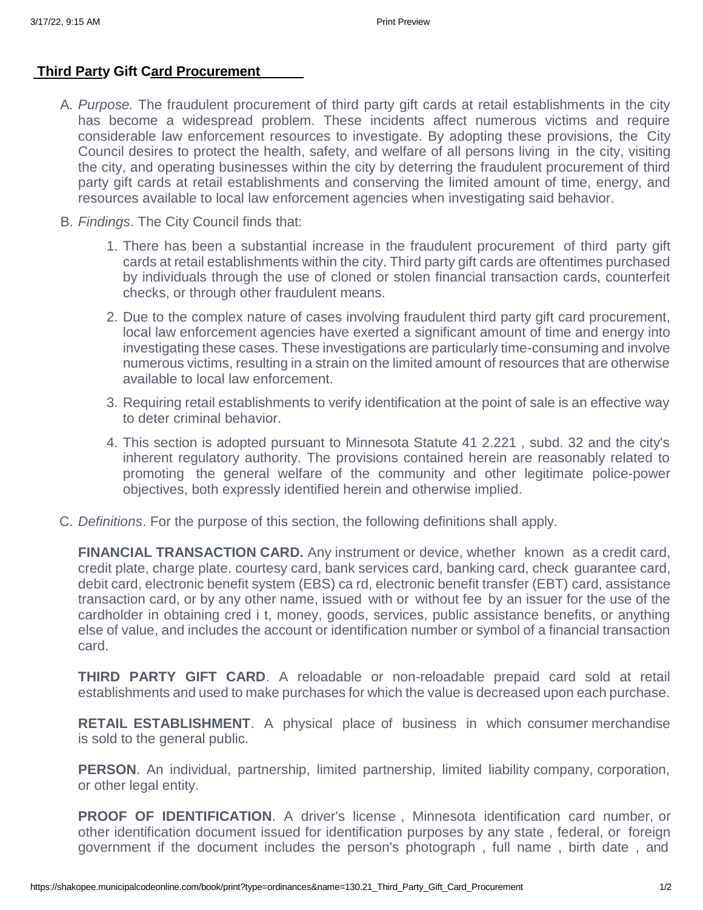## **[Third Party Gift Card Procurement](https://shakopee.municipalcodeonline.com/book?type=ordinances&name=130.21_Third_Party_Gift_Card_Procurement)**

- A. *Purpose.* The fraudulent procurement of third party gift cards at retail establishments in the city has become a widespread problem. These incidents affect numerous victims and require considerable law enforcement resources to investigate. By adopting these provisions, the City Council desires to protect the health, safety, and welfare of all persons living in the city, visiting the city, and operating businesses within the city by deterring the fraudulent procurement of third party gift cards at retail establishments and conserving the limited amount of time, energy, and resources available to local law enforcement agencies when investigating said behavior.
- B. *Findings*. The City Council finds that:
	- 1. There has been a substantial increase in the fraudulent procurement of third party gift cards at retail establishments within the city. Third party gift cards are oftentimes purchased by individuals through the use of cloned or stolen financial transaction cards, counterfeit checks, or through other fraudulent means.
	- 2. Due to the complex nature of cases involving fraudulent third party gift card procurement, local law enforcement agencies have exerted a significant amount of time and energy into investigating these cases. These investigations are particularly time-consuming and involve numerous victims, resulting in a strain on the limited amount of resources that are otherwise available to local law enforcement.
	- 3. Requiring retail establishments to verify identification at the point of sale is an effective way to deter criminal behavior.
	- 4. This section is adopted pursuant to Minnesota Statute 41 2.221 , subd. 32 and the city's inherent regulatory authority. The provisions contained herein are reasonably related to promoting the general welfare of the community and other legitimate police-power objectives, both expressly identified herein and otherwise implied.
- C. *Definitions*. For the purpose of this section, the following definitions shall apply.

**FINANCIAL TRANSACTION CARD.** Any instrument or device, whether known as a credit card, credit plate, charge plate. courtesy card, bank services card, banking card, check guarantee card, debit card, electronic benefit system (EBS) ca rd, electronic benefit transfer (EBT) card, assistance transaction card, or by any other name, issued with or without fee by an issuer for the use of the cardholder in obtaining cred i t, money, goods, services, public assistance benefits, or anything else of value, and includes the account or identification number or symbol of a financial transaction card.

**THIRD PARTY GIFT CARD**. A reloadable or non-reloadable prepaid card sold at retail establishments and used to make purchases for which the value is decreased upon each purchase.

**RETAIL ESTABLISHMENT**. A physical place of business in which consumer merchandise is sold to the general public.

**PERSON**. An individual, partnership, limited partnership, limited liability company, corporation, or other legal entity.

**PROOF OF IDENTIFICATION**. A driver's license , Minnesota identification card number, or other identification document issued for identification purposes by any state , federal, or foreign government if the document includes the person's photograph , full name , birth date , and